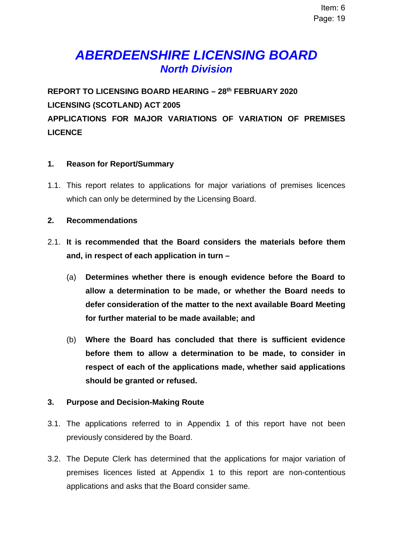# *ABERDEENSHIRE LICENSING BOARD North Division*

**REPORT TO LICENSING BOARD HEARING – 28th FEBRUARY 2020 LICENSING (SCOTLAND) ACT 2005 APPLICATIONS FOR MAJOR VARIATIONS OF VARIATION OF PREMISES LICENCE** 

## **1. Reason for Report/Summary**

1.1. This report relates to applications for major variations of premises licences which can only be determined by the Licensing Board.

#### **2. Recommendations**

- 2.1. **It is recommended that the Board considers the materials before them and, in respect of each application in turn –** 
	- (a) **Determines whether there is enough evidence before the Board to allow a determination to be made, or whether the Board needs to defer consideration of the matter to the next available Board Meeting for further material to be made available; and**
	- (b) **Where the Board has concluded that there is sufficient evidence before them to allow a determination to be made, to consider in respect of each of the applications made, whether said applications should be granted or refused.**

## **3. Purpose and Decision-Making Route**

- 3.1. The applications referred to in Appendix 1 of this report have not been previously considered by the Board.
- 3.2. The Depute Clerk has determined that the applications for major variation of premises licences listed at Appendix 1 to this report are non-contentious applications and asks that the Board consider same.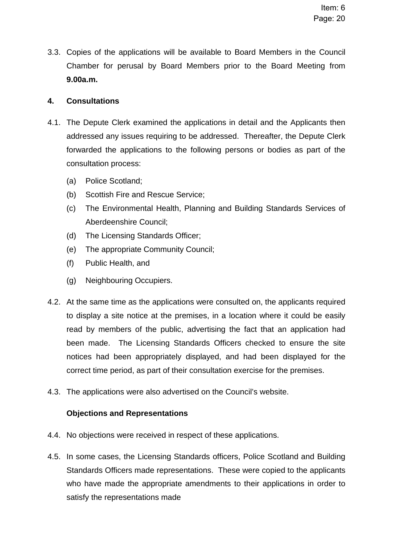3.3. Copies of the applications will be available to Board Members in the Council Chamber for perusal by Board Members prior to the Board Meeting from **9.00a.m.** 

## **4. Consultations**

- 4.1. The Depute Clerk examined the applications in detail and the Applicants then addressed any issues requiring to be addressed. Thereafter, the Depute Clerk forwarded the applications to the following persons or bodies as part of the consultation process:
	- (a) Police Scotland;
	- (b) Scottish Fire and Rescue Service;
	- (c) The Environmental Health, Planning and Building Standards Services of Aberdeenshire Council;
	- (d) The Licensing Standards Officer;
	- (e) The appropriate Community Council;
	- (f) Public Health, and
	- (g) Neighbouring Occupiers.
- 4.2. At the same time as the applications were consulted on, the applicants required to display a site notice at the premises, in a location where it could be easily read by members of the public, advertising the fact that an application had been made. The Licensing Standards Officers checked to ensure the site notices had been appropriately displayed, and had been displayed for the correct time period, as part of their consultation exercise for the premises.
- 4.3. The applications were also advertised on the Council's website.

## **Objections and Representations**

- 4.4. No objections were received in respect of these applications.
- 4.5. In some cases, the Licensing Standards officers, Police Scotland and Building Standards Officers made representations. These were copied to the applicants who have made the appropriate amendments to their applications in order to satisfy the representations made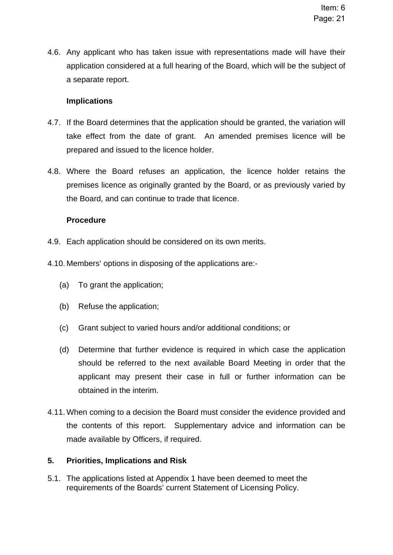4.6. Any applicant who has taken issue with representations made will have their application considered at a full hearing of the Board, which will be the subject of a separate report.

## **Implications**

- 4.7. If the Board determines that the application should be granted, the variation will take effect from the date of grant. An amended premises licence will be prepared and issued to the licence holder.
- 4.8. Where the Board refuses an application, the licence holder retains the premises licence as originally granted by the Board, or as previously varied by the Board, and can continue to trade that licence.

## **Procedure**

- 4.9. Each application should be considered on its own merits.
- 4.10. Members' options in disposing of the applications are:-
	- (a) To grant the application;
	- (b) Refuse the application;
	- (c) Grant subject to varied hours and/or additional conditions; or
	- (d) Determine that further evidence is required in which case the application should be referred to the next available Board Meeting in order that the applicant may present their case in full or further information can be obtained in the interim.
- 4.11. When coming to a decision the Board must consider the evidence provided and the contents of this report. Supplementary advice and information can be made available by Officers, if required.

## **5. Priorities, Implications and Risk**

5.1. The applications listed at Appendix 1 have been deemed to meet the requirements of the Boards' current Statement of Licensing Policy.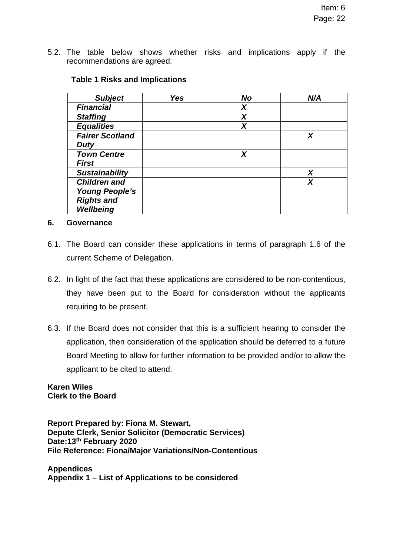5.2. The table below shows whether risks and implications apply if the recommendations are agreed:

| <b>Subject</b>         | <b>Yes</b> | <b>No</b> | N/A |
|------------------------|------------|-----------|-----|
| <b>Financial</b>       |            | X         |     |
| <b>Staffing</b>        |            | Χ         |     |
| <b>Equalities</b>      |            | X         |     |
| <b>Fairer Scotland</b> |            |           | X   |
| <b>Duty</b>            |            |           |     |
| <b>Town Centre</b>     |            | X         |     |
| <b>First</b>           |            |           |     |
| <b>Sustainability</b>  |            |           | X   |
| <b>Children and</b>    |            |           | X   |
| <b>Young People's</b>  |            |           |     |
| <b>Rights and</b>      |            |           |     |
| <b>Wellbeing</b>       |            |           |     |

## **Table 1 Risks and Implications**

#### **6. Governance**

- 6.1. The Board can consider these applications in terms of paragraph 1.6 of the current Scheme of Delegation.
- 6.2. In light of the fact that these applications are considered to be non-contentious, they have been put to the Board for consideration without the applicants requiring to be present.
- 6.3. If the Board does not consider that this is a sufficient hearing to consider the application, then consideration of the application should be deferred to a future Board Meeting to allow for further information to be provided and/or to allow the applicant to be cited to attend.

**Karen Wiles Clerk to the Board** 

**Report Prepared by: Fiona M. Stewart, Depute Clerk, Senior Solicitor (Democratic Services) Date:13th February 2020 File Reference: Fiona/Major Variations/Non-Contentious** 

**Appendices Appendix 1 – List of Applications to be considered**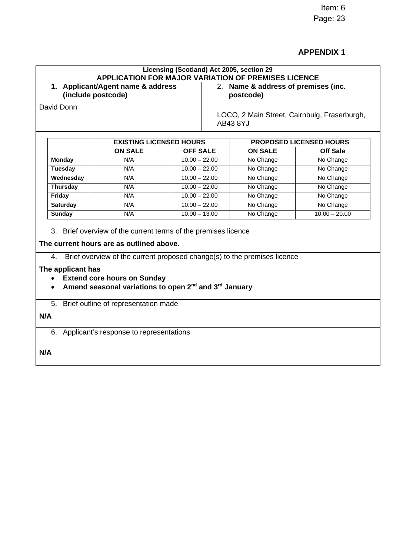Item: 6 Page: 23

# **APPENDIX 1**

|                                                          |                                                                                                                                                                                                                                                                              |                 | Licensing (Scotland) Act 2005, section 29<br>APPLICATION FOR MAJOR VARIATION OF PREMISES LICENCE |                                |  |
|----------------------------------------------------------|------------------------------------------------------------------------------------------------------------------------------------------------------------------------------------------------------------------------------------------------------------------------------|-----------------|--------------------------------------------------------------------------------------------------|--------------------------------|--|
| 1. Applicant/Agent name & address<br>(include postcode)  |                                                                                                                                                                                                                                                                              |                 | 2. Name & address of premises (inc.<br>postcode)                                                 |                                |  |
|                                                          |                                                                                                                                                                                                                                                                              |                 |                                                                                                  |                                |  |
|                                                          | <b>EXISTING LICENSED HOURS</b>                                                                                                                                                                                                                                               |                 |                                                                                                  | <b>PROPOSED LICENSED HOURS</b> |  |
|                                                          | <b>ON SALE</b>                                                                                                                                                                                                                                                               | <b>OFF SALE</b> | <b>ON SALE</b>                                                                                   | <b>Off Sale</b>                |  |
| <b>Monday</b>                                            | N/A                                                                                                                                                                                                                                                                          | $10.00 - 22.00$ | No Change                                                                                        | No Change                      |  |
| <b>Tuesday</b>                                           | N/A                                                                                                                                                                                                                                                                          | $10.00 - 22.00$ | No Change                                                                                        | No Change                      |  |
| Wednesday                                                | N/A                                                                                                                                                                                                                                                                          | $10.00 - 22.00$ | No Change                                                                                        | No Change                      |  |
| <b>Thursday</b>                                          | N/A                                                                                                                                                                                                                                                                          | $10.00 - 22.00$ | No Change                                                                                        | No Change                      |  |
| Friday                                                   | N/A                                                                                                                                                                                                                                                                          | $10.00 - 22.00$ | No Change                                                                                        | No Change                      |  |
| <b>Saturday</b>                                          | N/A                                                                                                                                                                                                                                                                          | $10.00 - 22.00$ | No Change                                                                                        | No Change                      |  |
| <b>Sunday</b>                                            | N/A                                                                                                                                                                                                                                                                          | $10.00 - 13.00$ | No Change                                                                                        | $10.00 - 20.00$                |  |
|                                                          |                                                                                                                                                                                                                                                                              |                 |                                                                                                  |                                |  |
| 4.<br>The applicant has<br>$\bullet$<br>$\bullet$<br>N/A | 3. Brief overview of the current terms of the premises licence<br>The current hours are as outlined above.<br><b>Extend core hours on Sunday</b><br>Amend seasonal variations to open 2 <sup>nd</sup> and 3 <sup>rd</sup> January<br>5. Brief outline of representation made |                 | Brief overview of the current proposed change(s) to the premises licence                         |                                |  |
|                                                          | 6. Applicant's response to representations                                                                                                                                                                                                                                   |                 |                                                                                                  |                                |  |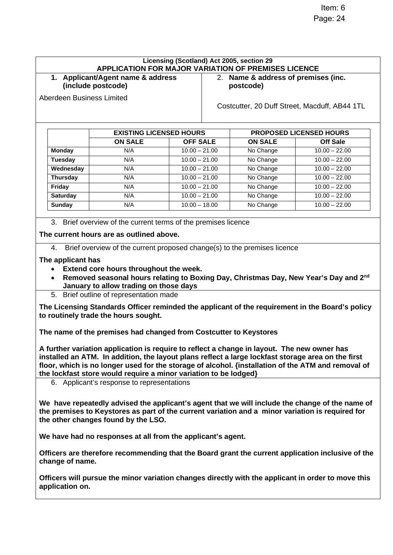| Applicant/Agent name & address<br>1.<br>(include postcode) |                                |                 | 2. Name & address of premises (inc.<br>postcode) |                                |  |
|------------------------------------------------------------|--------------------------------|-----------------|--------------------------------------------------|--------------------------------|--|
| Aberdeen Business Limited                                  |                                |                 | Costcutter, 20 Duff Street, Macduff, AB44 1TL    |                                |  |
|                                                            | <b>EXISTING LICENSED HOURS</b> |                 |                                                  | <b>PROPOSED LICENSED HOURS</b> |  |
|                                                            | <b>ON SALE</b>                 | <b>OFF SALE</b> | <b>ON SALE</b>                                   | <b>Off Sale</b>                |  |
| <b>Monday</b>                                              | N/A                            | $10.00 - 21.00$ | No Change                                        | $10.00 - 22.00$                |  |
| Tuesday                                                    | N/A                            | $10.00 - 21.00$ | No Change                                        | $10.00 - 22.00$                |  |
| Wednesday                                                  | N/A                            | $10.00 - 21.00$ | No Change                                        | $10.00 - 22.00$                |  |
| <b>Thursday</b>                                            | N/A                            | $10.00 - 21.00$ | No Change                                        | $10.00 - 22.00$                |  |
| Friday                                                     | N/A                            | $10.00 - 21.00$ | No Change                                        | $10.00 - 22.00$                |  |
| <b>Saturday</b>                                            | N/A                            | $10.00 - 21.00$ | No Change                                        | $10.00 - 22.00$                |  |
| Sunday                                                     | N/A                            | $10.00 - 18.00$ | No Change                                        | $10.00 - 22.00$                |  |
|                                                            |                                |                 |                                                  |                                |  |

4. Brief overview of the current proposed change(s) to the premises licence

**The applicant has** 

- **Extend core hours throughout the week.**
- **Removed seasonal hours relating to Boxing Day, Christmas Day, New Year's Day and 2nd January to allow trading on those days**
- 5. Brief outline of representation made

**The Licensing Standards Officer reminded the applicant of the requirement in the Board's policy to routinely trade the hours sought.** 

**The name of the premises had changed from Costcutter to Keystores** 

**A further variation application is require to reflect a change in layout. The new owner has installed an ATM. In addition, the layout plans reflect a large lockfast storage area on the first floor, which is no longer used for the storage of alcohol. {installation of the ATM and removal of the lockfast store would require a minor variation to be lodged}**

6. Applicant's response to representations

**We have repeatedly advised the applicant's agent that we will include the change of the name of the premises to Keystores as part of the current variation and a minor variation is required for the other changes found by the LSO.** 

**We have had no responses at all from the applicant's agent.** 

**Officers are therefore recommending that the Board grant the current application inclusive of the change of name.** 

**Officers will pursue the minor variation changes directly with the applicant in order to move this application on.**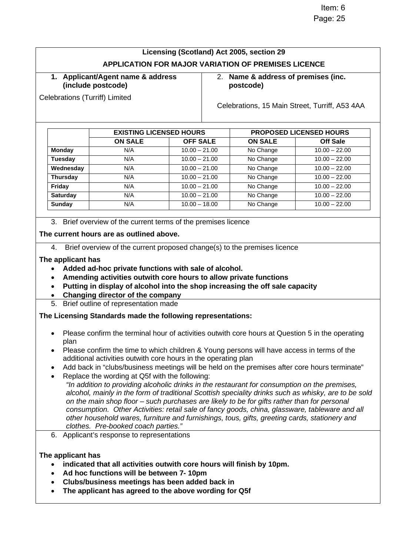# **Licensing (Scotland) Act 2005, section 29 APPLICATION FOR MAJOR VARIATION OF PREMISES LICENCE**

#### **1. Applicant/Agent name & address (include postcode)**

Celebrations (Turriff) Limited

2. **Name & address of premises (inc. postcode)**

Celebrations, 15 Main Street, Turriff, A53 4AA

|                 | <b>EXISTING LICENSED HOURS</b> |                 | <b>PROPOSED LICENSED HOURS</b> |                 |
|-----------------|--------------------------------|-----------------|--------------------------------|-----------------|
|                 | <b>ON SALE</b>                 | <b>OFF SALE</b> | <b>ON SALE</b>                 | Off Sale        |
| <b>Monday</b>   | N/A                            | $10.00 - 21.00$ | No Change                      | $10.00 - 22.00$ |
| <b>Tuesday</b>  | N/A                            | $10.00 - 21.00$ | No Change                      | $10.00 - 22.00$ |
| Wednesday       | N/A                            | $10.00 - 21.00$ | No Change                      | $10.00 - 22.00$ |
| <b>Thursday</b> | N/A                            | $10.00 - 21.00$ | No Change                      | $10.00 - 22.00$ |
| Friday          | N/A                            | $10.00 - 21.00$ | No Change                      | $10.00 - 22.00$ |
| <b>Saturday</b> | N/A                            | $10.00 - 21.00$ | No Change                      | $10.00 - 22.00$ |
| <b>Sunday</b>   | N/A                            | $10.00 - 18.00$ | No Change                      | $10.00 - 22.00$ |

3. Brief overview of the current terms of the premises licence

#### **The current hours are as outlined above.**

4. Brief overview of the current proposed change(s) to the premises licence

#### **The applicant has**

- **Added ad-hoc private functions with sale of alcohol.**
- **Amending activities outwith core hours to allow private functions**
- **Putting in display of alcohol into the shop increasing the off sale capacity**
- **Changing director of the company**
- 5. Brief outline of representation made

#### **The Licensing Standards made the following representations:**

- Please confirm the terminal hour of activities outwith core hours at Question 5 in the operating plan
- Please confirm the time to which children & Young persons will have access in terms of the additional activities outwith core hours in the operating plan
- Add back in "clubs/business meetings will be held on the premises after core hours terminate"
- Replace the wording at Q5f with the following:
	- *"In addition to providing alcoholic drinks in the restaurant for consumption on the premises, alcohol, mainly in the form of traditional Scottish speciality drinks such as whisky, are to be sold on the main shop floor – such purchases are likely to be for gifts rather than for personal consumption. Other Activities: retail sale of fancy goods, china, glassware, tableware and all other household wares, furniture and furnishings, tous, gifts, greeting cards, stationery and clothes. Pre-booked coach parties."*
- 6. Applicant's response to representations

#### **The applicant has**

- **indicated that all activities outwith core hours will finish by 10pm.**
- **Ad hoc functions will be between 7- 10pm**
- **Clubs/business meetings has been added back in**
- **The applicant has agreed to the above wording for Q5f**